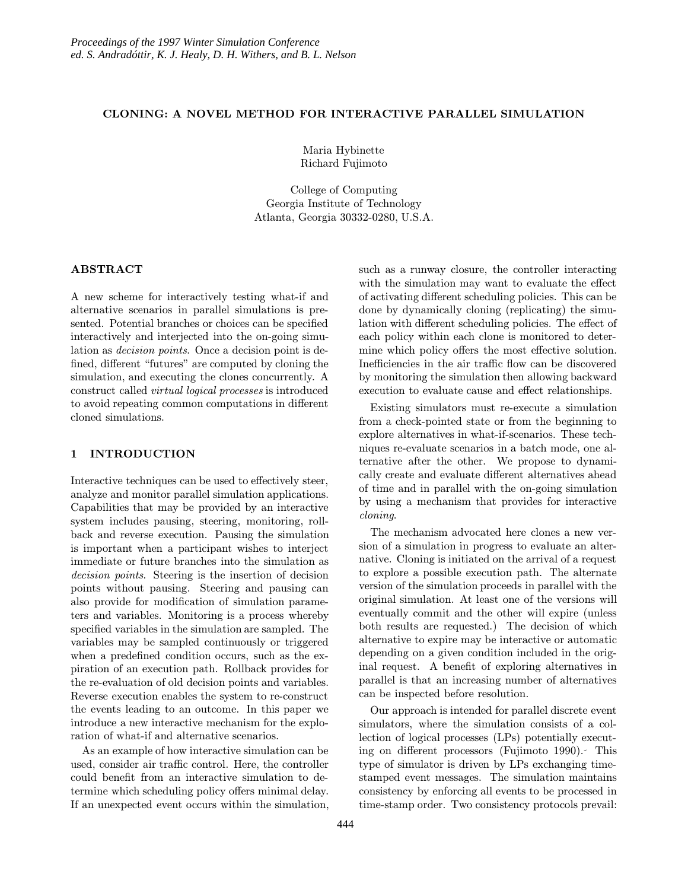## CLONING: A NOVEL METHOD FOR INTERACTIVE PARALLEL SIMULATION

Maria Hybinette Richard Fujimoto

College of Computing Georgia Institute of Technology Atlanta, Georgia 30332-0280, U.S.A.

## ABSTRACT

A new scheme for interactively testing what-if and alternative scenarios in parallel simulations is presented. Potential branches or choices can be specified interactively and interjected into the on-going simulation as decision points. Once a decision point is defined, different "futures" are computed by cloning the simulation, and executing the clones concurrently. A construct called virtual logical processes is introduced to avoid repeating common computations in different cloned simulations.

## 1 INTRODUCTION

Interactive techniques can be used to effectively steer, analyze and monitor parallel simulation applications. Capabilities that may be provided by an interactive system includes pausing, steering, monitoring, rollback and reverse execution. Pausing the simulation is important when a participant wishes to interject immediate or future branches into the simulation as decision points. Steering is the insertion of decision points without pausing. Steering and pausing can also provide for modification of simulation parameters and variables. Monitoring is a process whereby specified variables in the simulation are sampled. The variables may be sampled continuously or triggered when a predefined condition occurs, such as the expiration of an execution path. Rollback provides for the re-evaluation of old decision points and variables. Reverse execution enables the system to re-construct the events leading to an outcome. In this paper we introduce a new interactive mechanism for the exploration of what-if and alternative scenarios.

As an example of how interactive simulation can be used, consider air traffic control. Here, the controller could benefit from an interactive simulation to determine which scheduling policy offers minimal delay. If an unexpected event occurs within the simulation, such as a runway closure, the controller interacting with the simulation may want to evaluate the effect of activating different scheduling policies. This can be done by dynamically cloning (replicating) the simulation with different scheduling policies. The effect of each policy within each clone is monitored to determine which policy offers the most effective solution. Inefficiencies in the air traffic flow can be discovered by monitoring the simulation then allowing backward execution to evaluate cause and effect relationships.

Existing simulators must re-execute a simulation from a check-pointed state or from the beginning to explore alternatives in what-if-scenarios. These techniques re-evaluate scenarios in a batch mode, one alternative after the other. We propose to dynamically create and evaluate different alternatives ahead of time and in parallel with the on-going simulation by using a mechanism that provides for interactive cloning.

The mechanism advocated here clones a new version of a simulation in progress to evaluate an alternative. Cloning is initiated on the arrival of a request to explore a possible execution path. The alternate version of the simulation proceeds in parallel with the original simulation. At least one of the versions will eventually commit and the other will expire (unless both results are requested.) The decision of which alternative to expire may be interactive or automatic depending on a given condition included in the original request. A benefit of exploring alternatives in parallel is that an increasing number of alternatives can be inspected before resolution.

Our approach is intended for parallel discrete event simulators, where the simulation consists of a collection of logical processes (LPs) potentially executing on different processors (Fujimoto 1990). This type of simulator is driven by LPs exchanging timestamped event messages. The simulation maintains consistency by enforcing all events to be processed in time-stamp order. Two consistency protocols prevail: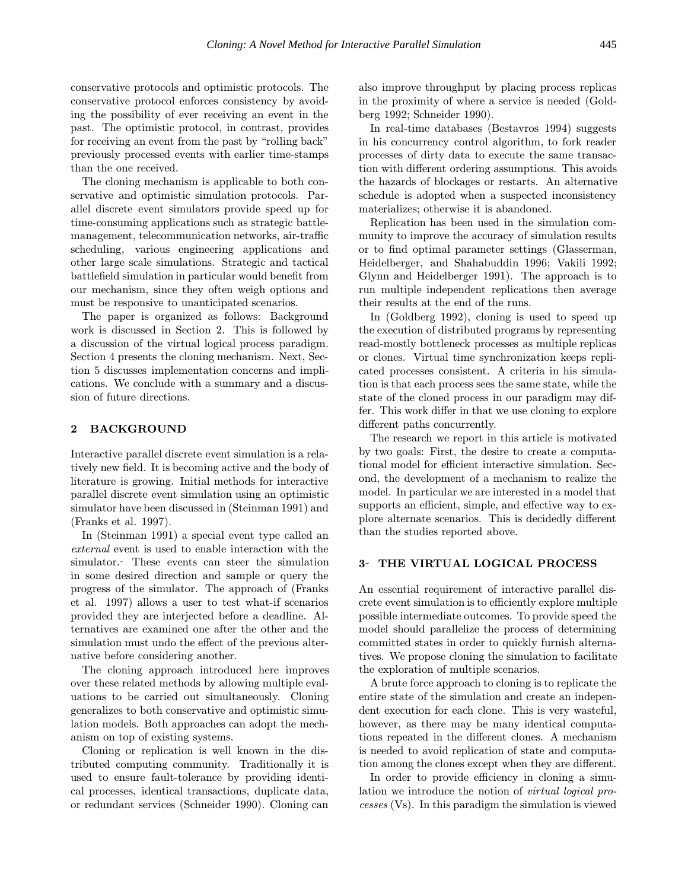conservative protocols and optimistic protocols. The conservative protocol enforces consistency by avoiding the possibility of ever receiving an event in the past. The optimistic protocol, in contrast, provides for receiving an event from the past by "rolling back" previously processed events with earlier time-stamps than the one received.

The cloning mechanism is applicable to both conservative and optimistic simulation protocols. Parallel discrete event simulators provide speed up for time-consuming applications such as strategic battlemanagement, telecommunication networks, air-traffic scheduling, various engineering applications and other large scale simulations. Strategic and tactical battlefield simulation in particular would benefit from our mechanism, since they often weigh options and must be responsive to unanticipated scenarios.

The paper is organized as follows: Background work is discussed in Section 2. This is followed by a discussion of the virtual logical process paradigm. Section 4 presents the cloning mechanism. Next, Section 5 discusses implementation concerns and implications. We conclude with a summary and a discussion of future directions.

## 2 BACKGROUND

Interactive parallel discrete event simulation is a relatively new field. It is becoming active and the body of literature is growing. Initial methods for interactive parallel discrete event simulation using an optimistic simulator have been discussed in (Steinman 1991) and (Franks et al. 1997).

In (Steinman 1991) a special event type called an external event is used to enable interaction with the simulator. These events can steer the simulation in some desired direction and sample or query the progress of the simulator. The approach of (Franks et al. 1997) allows a user to test what-if scenarios provided they are interjected before a deadline. Alternatives are examined one after the other and the simulation must undo the effect of the previous alternative before considering another.

The cloning approach introduced here improves over these related methods by allowing multiple evaluations to be carried out simultaneously. Cloning generalizes to both conservative and optimistic simulation models. Both approaches can adopt the mechanism on top of existing systems.

Cloning or replication is well known in the distributed computing community. Traditionally it is used to ensure fault-tolerance by providing identical processes, identical transactions, duplicate data, or redundant services (Schneider 1990). Cloning can also improve throughput by placing process replicas in the proximity of where a service is needed (Goldberg 1992; Schneider 1990).

In real-time databases (Bestavros 1994) suggests in his concurrency control algorithm, to fork reader processes of dirty data to execute the same transaction with different ordering assumptions. This avoids the hazards of blockages or restarts. An alternative schedule is adopted when a suspected inconsistency materializes; otherwise it is abandoned.

Replication has been used in the simulation community to improve the accuracy of simulation results or to find optimal parameter settings (Glasserman, Heidelberger, and Shahabuddin 1996; Vakili 1992; Glynn and Heidelberger 1991). The approach is to run multiple independent replications then average their results at the end of the runs.

In (Goldberg 1992), cloning is used to speed up the execution of distributed programs by representing read-mostly bottleneck processes as multiple replicas or clones. Virtual time synchronization keeps replicated processes consistent. A criteria in his simulation is that each process sees the same state, while the state of the cloned process in our paradigm may differ. This work differ in that we use cloning to explore different paths concurrently.

The research we report in this article is motivated by two goals: First, the desire to create a computational model for efficient interactive simulation. Second, the development of a mechanism to realize the model. In particular we are interested in a model that supports an efficient, simple, and effective way to explore alternate scenarios. This is decidedly different than the studies reported above.

# 3- THE VIRTUAL LOGICAL PROCESS

An essential requirement of interactive parallel discrete event simulation is to efficiently explore multiple possible intermediate outcomes. To provide speed the model should parallelize the process of determining committed states in order to quickly furnish alternatives. We propose cloning the simulation to facilitate the exploration of multiple scenarios.

A brute force approach to cloning is to replicate the entire state of the simulation and create an independent execution for each clone. This is very wasteful, however, as there may be many identical computations repeated in the different clones. A mechanism is needed to avoid replication of state and computation among the clones except when they are different.

In order to provide efficiency in cloning a simulation we introduce the notion of virtual logical processes (Vs). In this paradigm the simulation is viewed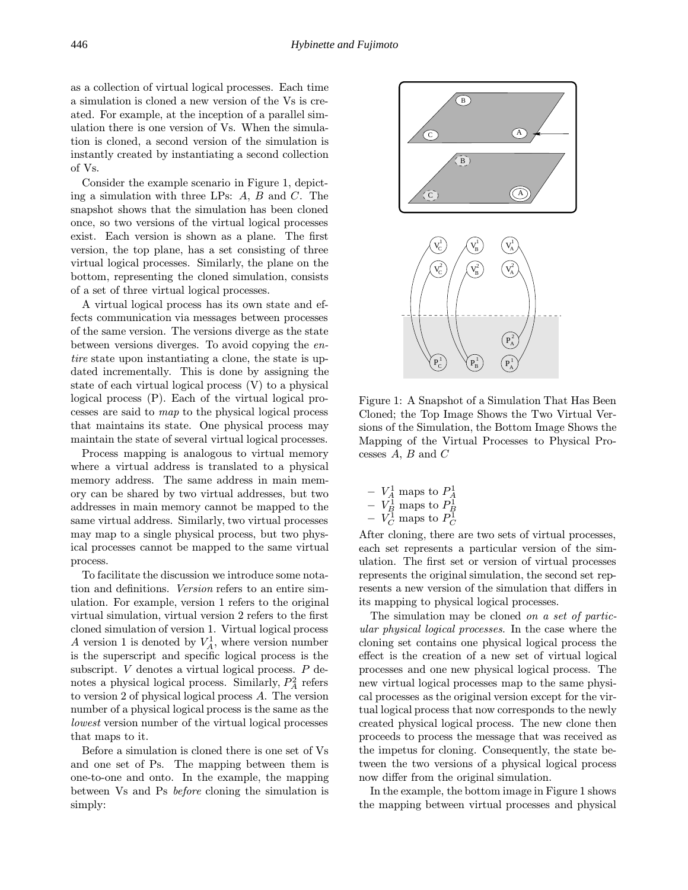as a collection of virtual logical processes. Each time a simulation is cloned a new version of the Vs is created. For example, at the inception of a parallel simulation there is one version of Vs. When the simulation is cloned, a second version of the simulation is instantly created by instantiating a second collection of Vs.

Consider the example scenario in Figure 1, depicting a simulation with three LPs: A, B and C. The snapshot shows that the simulation has been cloned once, so two versions of the virtual logical processes exist. Each version is shown as a plane. The first version, the top plane, has a set consisting of three virtual logical processes. Similarly, the plane on the bottom, representing the cloned simulation, consists of a set of three virtual logical processes.

A virtual logical process has its own state and effects communication via messages between processes of the same version. The versions diverge as the state between versions diverges. To avoid copying the entire state upon instantiating a clone, the state is updated incrementally. This is done by assigning the state of each virtual logical process (V) to a physical logical process (P). Each of the virtual logical processes are said to map to the physical logical process that maintains its state. One physical process may maintain the state of several virtual logical processes.

Process mapping is analogous to virtual memory where a virtual address is translated to a physical memory address. The same address in main memory can be shared by two virtual addresses, but two addresses in main memory cannot be mapped to the same virtual address. Similarly, two virtual processes may map to a single physical process, but two physical processes cannot be mapped to the same virtual process.

To facilitate the discussion we introduce some notation and definitions. Version refers to an entire simulation. For example, version 1 refers to the original virtual simulation, virtual version 2 refers to the first cloned simulation of version 1. Virtual logical process A version 1 is denoted by  $V_A^1$ , where version number is the superscript and specific logical process is the subscript. V denotes a virtual logical process. P denotes a physical logical process. Similarly,  $P_A^2$  refers to version 2 of physical logical process A. The version number of a physical logical process is the same as the lowest version number of the virtual logical processes that maps to it.

Before a simulation is cloned there is one set of Vs and one set of Ps. The mapping between them is one-to-one and onto. In the example, the mapping between Vs and Ps before cloning the simulation is simply:



Figure 1: A Snapshot of a Simulation That Has Been Cloned; the Top Image Shows the Two Virtual Versions of the Simulation, the Bottom Image Shows the Mapping of the Virtual Processes to Physical Processes  $A, B$  and  $C$ 

|  | $V_A^1$ maps to $P_A^1$ |  |
|--|-------------------------|--|
|  | $V_B^1$ maps to $P_B^1$ |  |
|  | $V_C^1$ maps to $P_C^1$ |  |

After cloning, there are two sets of virtual processes, each set represents a particular version of the simulation. The first set or version of virtual processes represents the original simulation, the second set represents a new version of the simulation that differs in its mapping to physical logical processes.

The simulation may be cloned on a set of particular physical logical processes. In the case where the cloning set contains one physical logical process the effect is the creation of a new set of virtual logical processes and one new physical logical process. The new virtual logical processes map to the same physical processes as the original version except for the virtual logical process that now corresponds to the newly created physical logical process. The new clone then proceeds to process the message that was received as the impetus for cloning. Consequently, the state between the two versions of a physical logical process now differ from the original simulation.

In the example, the bottom image in Figure 1 shows the mapping between virtual processes and physical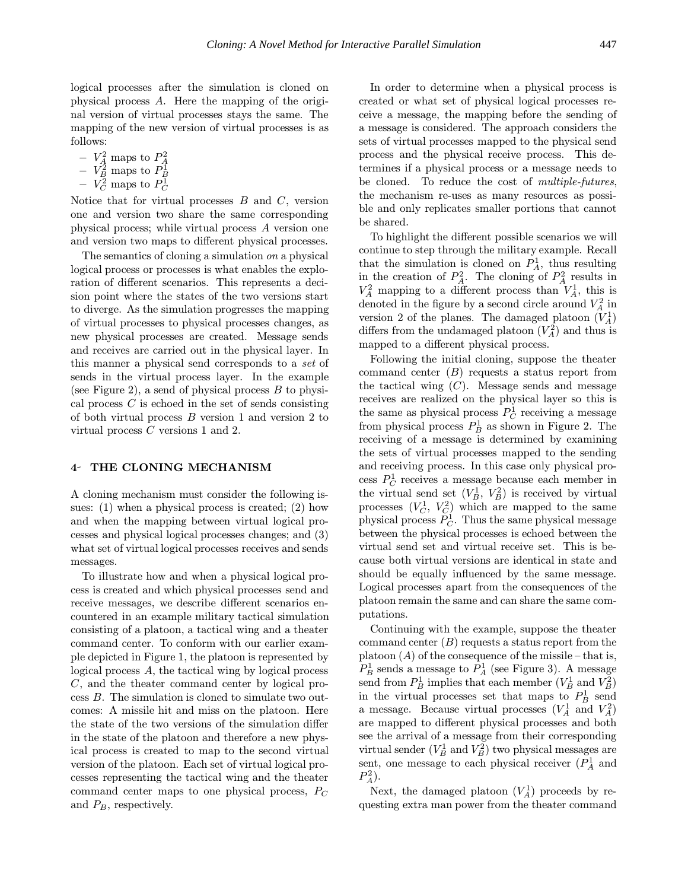logical processes after the simulation is cloned on physical process A. Here the mapping of the original version of virtual processes stays the same. The mapping of the new version of virtual processes is as follows:

- 
- $V_A^2$  maps to  $P_A^2$ <br>  $V_B^2$  maps to  $P_B^1$ <br>  $V_C^2$  maps to  $P_C^1$
- 

Notice that for virtual processes  $B$  and  $C$ , version one and version two share the same corresponding physical process; while virtual process A version one and version two maps to different physical processes.

The semantics of cloning a simulation on a physical logical process or processes is what enables the exploration of different scenarios. This represents a decision point where the states of the two versions start to diverge. As the simulation progresses the mapping of virtual processes to physical processes changes, as new physical processes are created. Message sends and receives are carried out in the physical layer. In this manner a physical send corresponds to a set of sends in the virtual process layer. In the example (see Figure 2), a send of physical process  $B$  to physical process  $C$  is echoed in the set of sends consisting of both virtual process B version 1 and version 2 to virtual process C versions 1 and 2.

#### 4 THE CLONING MECHANISM

A cloning mechanism must consider the following issues: (1) when a physical process is created; (2) how and when the mapping between virtual logical processes and physical logical processes changes; and (3) what set of virtual logical processes receives and sends messages.

To illustrate how and when a physical logical process is created and which physical processes send and receive messages, we describe different scenarios encountered in an example military tactical simulation consisting of a platoon, a tactical wing and a theater command center. To conform with our earlier example depicted in Figure 1, the platoon is represented by logical process A, the tactical wing by logical process C, and the theater command center by logical process B. The simulation is cloned to simulate two outcomes: A missile hit and miss on the platoon. Here the state of the two versions of the simulation differ in the state of the platoon and therefore a new physical process is created to map to the second virtual version of the platoon. Each set of virtual logical processes representing the tactical wing and the theater command center maps to one physical process,  $P_C$ and  $P_B$ , respectively.

In order to determine when a physical process is created or what set of physical logical processes receive a message, the mapping before the sending of a message is considered. The approach considers the sets of virtual processes mapped to the physical send process and the physical receive process. This determines if a physical process or a message needs to be cloned. To reduce the cost of multiple-futures, the mechanism re-uses as many resources as possible and only replicates smaller portions that cannot be shared.

To highlight the different possible scenarios we will continue to step through the military example. Recall that the simulation is cloned on  $P_A^1$ , thus resulting in the creation of  $P_A^2$ . The cloning of  $P_A^2$  results in  $V_A^2$  mapping to a different process than  $V_A^1$ , this is denoted in the figure by a second circle around  $V_A^2$  in version 2 of the planes. The damaged platoon  $(V_A^1)$ differs from the undamaged platoon  $(V_A^2)$  and thus is mapped to a different physical process.

Following the initial cloning, suppose the theater command center  $(B)$  requests a status report from the tactical wing  $(C)$ . Message sends and message receives are realized on the physical layer so this is the same as physical process  $P_C^1$  receiving a message from physical process  $P_B^1$  as shown in Figure 2. The receiving of a message is determined by examining the sets of virtual processes mapped to the sending and receiving process. In this case only physical process  $P_C^1$  receives a message because each member in the virtual send set  $(V_B^1, V_B^2)$  is received by virtual processes  $(V_C^1, V_C^2)$  which are mapped to the same physical process  $P_C^1$ . Thus the same physical message between the physical processes is echoed between the virtual send set and virtual receive set. This is because both virtual versions are identical in state and should be equally influenced by the same message. Logical processes apart from the consequences of the platoon remain the same and can share the same computations.

Continuing with the example, suppose the theater command center  $(B)$  requests a status report from the platoon  $(A)$  of the consequence of the missile – that is,  $P^1_B$  sends a message to  $P^1_A$  (see Figure 3). A message send from  $P_B^1$  implies that each member  $(V_B^1 \text{ and } V_B^2)$ in the virtual processes set that maps to  $P_B^1$  send a message. Because virtual processes  $(V_A^1$  and  $V_A^2)$ are mapped to different physical processes and both see the arrival of a message from their corresponding virtual sender  $(V_B^1 \text{ and } V_B^2)$  two physical messages are sent, one message to each physical receiver  $(P_A^1)$  and  $P_A^2$ ).

Next, the damaged platoon  $(V_A^1)$  proceeds by requesting extra man power from the theater command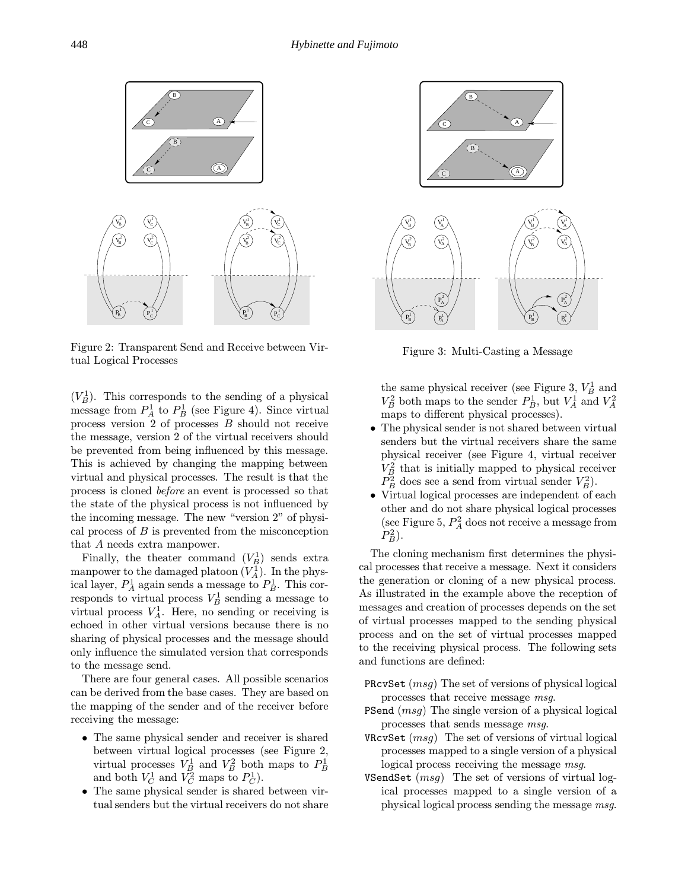

Figure 2: Transparent Send and Receive between Virtual Logical Processes

 $(V_B^1)$ . This corresponds to the sending of a physical message from  $P_A^1$  to  $P_B^1$  (see Figure 4). Since virtual process version 2 of processes B should not receive the message, version 2 of the virtual receivers should be prevented from being influenced by this message. This is achieved by changing the mapping between virtual and physical processes. The result is that the process is cloned before an event is processed so that the state of the physical process is not influenced by the incoming message. The new "version 2" of physical process of  $B$  is prevented from the misconception that A needs extra manpower.

Finally, the theater command  $(V_B^1)$  sends extra manpower to the damaged platoon  $(V_A^1)$ . In the physical layer,  $P_A^1$  again sends a message to  $P_B^1$ . This corresponds to virtual process  $V_B^1$  sending a message to virtual process  $V_A^1$ . Here, no sending or receiving is echoed in other virtual versions because there is no sharing of physical processes and the message should only influence the simulated version that corresponds to the message send.

There are four general cases. All possible scenarios can be derived from the base cases. They are based on the mapping of the sender and of the receiver before receiving the message:

- The same physical sender and receiver is shared between virtual logical processes (see Figure 2, virtual processes  $V_B^1$  and  $V_B^2$  both maps to  $P_B^1$ <br>and both  $V_C^1$  and  $V_C^2$  maps to  $P_C^1$ ).
- The same physical sender is shared between virtual senders but the virtual receivers do not share



Figure 3: Multi-Casting a Message

the same physical receiver (see Figure 3,  $V_B^1$  and  $V_B^2$  both maps to the sender  $P_B^1$ , but  $V_A^1$  and  $V_A^2$ maps to different physical processes).

- The physical sender is not shared between virtual senders but the virtual receivers share the same physical receiver (see Figure 4, virtual receiver  $V_B^2$  that is initially mapped to physical receiver  $P_B^2$  does see a send from virtual sender  $V_B^2$ ).
- Virtual logical processes are independent of each other and do not share physical logical processes (see Figure 5,  $P_A^2$  does not receive a message from  $P_B^2$ ).

The cloning mechanism first determines the physical processes that receive a message. Next it considers the generation or cloning of a new physical process. As illustrated in the example above the reception of messages and creation of processes depends on the set of virtual processes mapped to the sending physical process and on the set of virtual processes mapped to the receiving physical process. The following sets and functions are defined:

- PRcvSet (msg) The set of versions of physical logical processes that receive message msg.
- PSend (msg) The single version of a physical logical processes that sends message msg.
- VRcvSet  $(msq)$  The set of versions of virtual logical processes mapped to a single version of a physical logical process receiving the message msg.
- VSendSet  $(msg)$  The set of versions of virtual logical processes mapped to a single version of a physical logical process sending the message msg.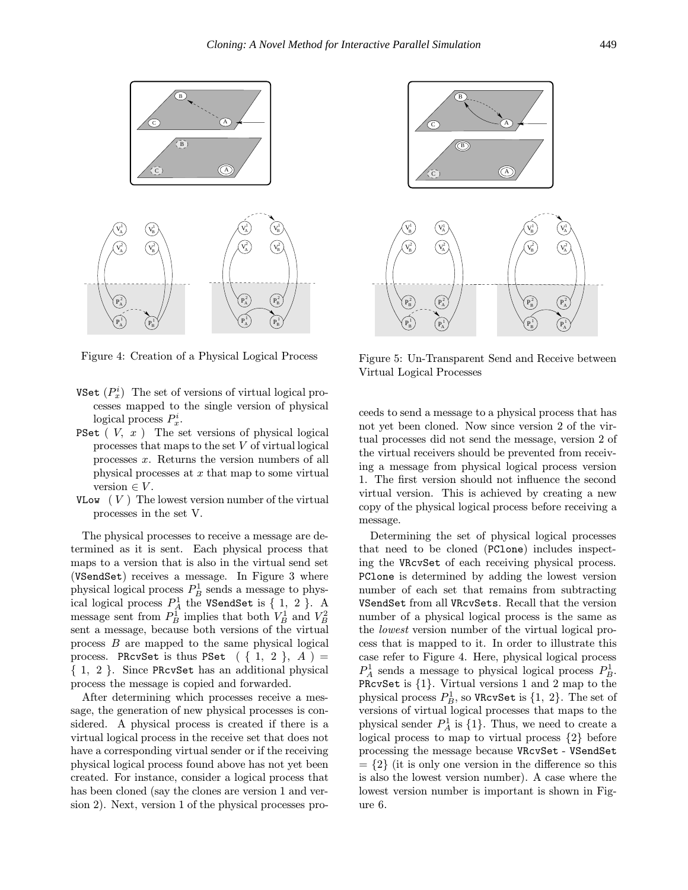

Figure 4: Creation of a Physical Logical Process

- VSet  $(P_x^i)$  The set of versions of virtual logical processes mapped to the single version of physical logical process  $P_x^i$ .
- **PSet**  $(V, x)$  The set versions of physical logical processes that maps to the set V of virtual logical processes x. Returns the version numbers of all physical processes at  $x$  that map to some virtual version  $\in V$ .
- VLow  $(V)$  The lowest version number of the virtual processes in the set V.

The physical processes to receive a message are determined as it is sent. Each physical process that maps to a version that is also in the virtual send set (VSendSet) receives a message. In Figure 3 where physical logical process  $P_B^1$  sends a message to physical logical process  $P_A^1$  the VSendSet is  $\{1, 2\}$ . A message sent from  $P_B^1$  implies that both  $V_B^1$  and  $V_B^2$ sent a message, because both versions of the virtual process B are mapped to the same physical logical process. PRcvSet is thus PSet  $( \{ 1, 2 \}, A) =$ { 1, 2 }. Since PRcvSet has an additional physical process the message is copied and forwarded.

After determining which processes receive a message, the generation of new physical processes is considered. A physical process is created if there is a virtual logical process in the receive set that does not have a corresponding virtual sender or if the receiving physical logical process found above has not yet been created. For instance, consider a logical process that has been cloned (say the clones are version 1 and version 2). Next, version 1 of the physical processes pro-



Figure 5: Un-Transparent Send and Receive between Virtual Logical Processes

ceeds to send a message to a physical process that has not yet been cloned. Now since version 2 of the virtual processes did not send the message, version 2 of the virtual receivers should be prevented from receiving a message from physical logical process version 1. The first version should not influence the second virtual version. This is achieved by creating a new copy of the physical logical process before receiving a message.

Determining the set of physical logical processes that need to be cloned (PClone) includes inspecting the VRcvSet of each receiving physical process. PClone is determined by adding the lowest version number of each set that remains from subtracting VSendSet from all VRcvSets. Recall that the version number of a physical logical process is the same as the lowest version number of the virtual logical process that is mapped to it. In order to illustrate this case refer to Figure 4. Here, physical logical process  $P_A^1$  sends a message to physical logical process  $P_B^1$ . PRcvSet is {1}. Virtual versions 1 and 2 map to the physical process  $P_B^1$ , so VRcvSet is  $\{1, 2\}$ . The set of versions of virtual logical processes that maps to the physical sender  $P_A^1$  is  $\{1\}$ . Thus, we need to create a logical process to map to virtual process {2} before processing the message because VRcvSet - VSendSet  $= \{2\}$  (it is only one version in the difference so this is also the lowest version number). A case where the lowest version number is important is shown in Figure 6.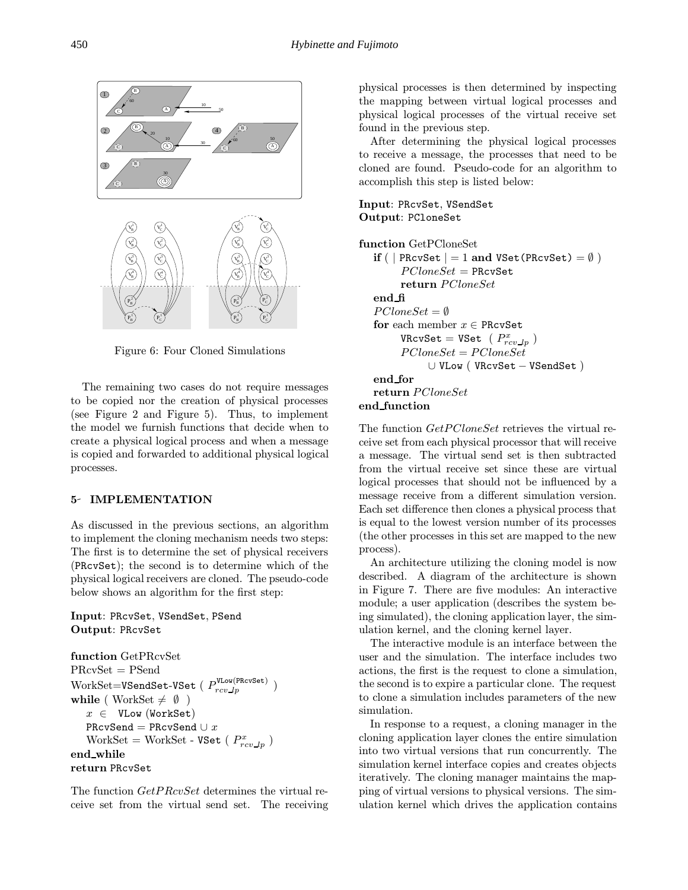

Figure 6: Four Cloned Simulations

The remaining two cases do not require messages to be copied nor the creation of physical processes (see Figure 2 and Figure 5). Thus, to implement the model we furnish functions that decide when to create a physical logical process and when a message is copied and forwarded to additional physical logical processes.

# 5- IMPLEMENTATION

As discussed in the previous sections, an algorithm to implement the cloning mechanism needs two steps: The first is to determine the set of physical receivers (PRcvSet); the second is to determine which of the physical logical receivers are cloned. The pseudo-code below shows an algorithm for the first step:

Input: PRcvSet, VSendSet, PSend Output: PRcvSet

```
function GetPRcvSet
PRcvSet = PSend
\operatorname{WorkSet}{=}\texttt{VSendSet{-}VSet}\;(\;P^\texttt{VLow(PRCVSet)}_{rcv\_lp}\;)while ( WorkSet \neq \emptyset )
   x \in VLow (WorkSet)
   PRcvSend = PRcvSend \cup xWorkSet = WorkSet - VSet (P_{rcv\_lp}^{x})end while
return PRcvSet
```
The function GetPRcvSet determines the virtual receive set from the virtual send set. The receiving physical processes is then determined by inspecting the mapping between virtual logical processes and physical logical processes of the virtual receive set found in the previous step.

After determining the physical logical processes to receive a message, the processes that need to be cloned are found. Pseudo-code for an algorithm to accomplish this step is listed below:

# Input: PRcvSet, VSendSet Output: PCloneSet

```
function GetPCloneSet
   if ( | PRcvSet |=1 and VSet(PRcvSet) = \emptyset)
         P CloneSet = PRCvSetreturn PCloneSet
   end fi
   P CloneSet = \emptysetfor each member x \in PRcvSet
         \texttt{VRcvSet} = \texttt{VSet} ( P_{rcv\_lp}^x )
         PCloneSet = PCloneSet∪ VLow ( VRcvSet − VSendSet )
   end for
   return PCloneSet
end function
```
The function  $GetPCloneSet$  retrieves the virtual receive set from each physical processor that will receive a message. The virtual send set is then subtracted from the virtual receive set since these are virtual logical processes that should not be influenced by a message receive from a different simulation version. Each set difference then clones a physical process that is equal to the lowest version number of its processes (the other processes in this set are mapped to the new process).

An architecture utilizing the cloning model is now described. A diagram of the architecture is shown in Figure 7. There are five modules: An interactive module; a user application (describes the system being simulated), the cloning application layer, the simulation kernel, and the cloning kernel layer.

The interactive module is an interface between the user and the simulation. The interface includes two actions, the first is the request to clone a simulation, the second is to expire a particular clone. The request to clone a simulation includes parameters of the new simulation.

In response to a request, a cloning manager in the cloning application layer clones the entire simulation into two virtual versions that run concurrently. The simulation kernel interface copies and creates objects iteratively. The cloning manager maintains the mapping of virtual versions to physical versions. The simulation kernel which drives the application contains